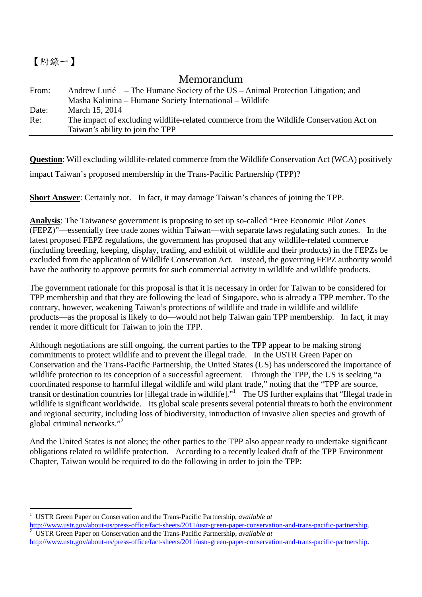## 【附錄一】

## Memorandum

| From: | Andrew Lurié – The Humane Society of the US – Animal Protection Litigation; and         |
|-------|-----------------------------------------------------------------------------------------|
|       | Masha Kalinina – Humane Society International – Wildlife                                |
| Date: | March 15, 2014                                                                          |
| Re:   | The impact of excluding wildlife-related commerce from the Wildlife Conservation Act on |
|       | Taiwan's ability to join the TPP                                                        |

**Question**: Will excluding wildlife-related commerce from the Wildlife Conservation Act (WCA) positively impact Taiwan's proposed membership in the Trans-Pacific Partnership (TPP)?

**Short Answer**: Certainly not. In fact, it may damage Taiwan's chances of joining the TPP.

**Analysis**: The Taiwanese government is proposing to set up so-called "Free Economic Pilot Zones (FEPZ)"—essentially free trade zones within Taiwan—with separate laws regulating such zones. In the latest proposed FEPZ regulations, the government has proposed that any wildlife-related commerce (including breeding, keeping, display, trading, and exhibit of wildlife and their products) in the FEPZs be excluded from the application of Wildlife Conservation Act. Instead, the governing FEPZ authority would have the authority to approve permits for such commercial activity in wildlife and wildlife products.

The government rationale for this proposal is that it is necessary in order for Taiwan to be considered for TPP membership and that they are following the lead of Singapore, who is already a TPP member. To the contrary, however, weakening Taiwan's protections of wildlife and trade in wildlife and wildlife products—as the proposal is likely to do—would not help Taiwan gain TPP membership. In fact, it may render it more difficult for Taiwan to join the TPP.

Although negotiations are still ongoing, the current parties to the TPP appear to be making strong commitments to protect wildlife and to prevent the illegal trade. In the USTR Green Paper on Conservation and the Trans-Pacific Partnership, the United States (US) has underscored the importance of wildlife protection to its conception of a successful agreement. Through the TPP, the US is seeking "a coordinated response to harmful illegal wildlife and wild plant trade," noting that the "TPP are source, transit or destination countries for [illegal trade in wildlife]."<sup>1</sup> The US further explains that "Illegal trade in wildlife is significant worldwide. Its global scale presents several potential threats to both the environment and regional security, including loss of biodiversity, introduction of invasive alien species and growth of global criminal networks."2

And the United States is not alone; the other parties to the TPP also appear ready to undertake significant obligations related to wildlife protection. According to a recently leaked draft of the TPP Environment Chapter, Taiwan would be required to do the following in order to join the TPP:

 $\overline{a}$ 1 USTR Green Paper on Conservation and the Trans-Pacific Partnership, *available at*

http://www.ustr.gov/about-us/press-office/fact-sheets/2011/ustr-green-paper-conservation-and-trans-pacific-partnership. <sup>2</sup> USTR Green Paper on Conservation and the Trans-Pacific Partnership, *available at*

http://www.ustr.gov/about-us/press-office/fact-sheets/2011/ustr-green-paper-conservation-and-trans-pacific-partnership.